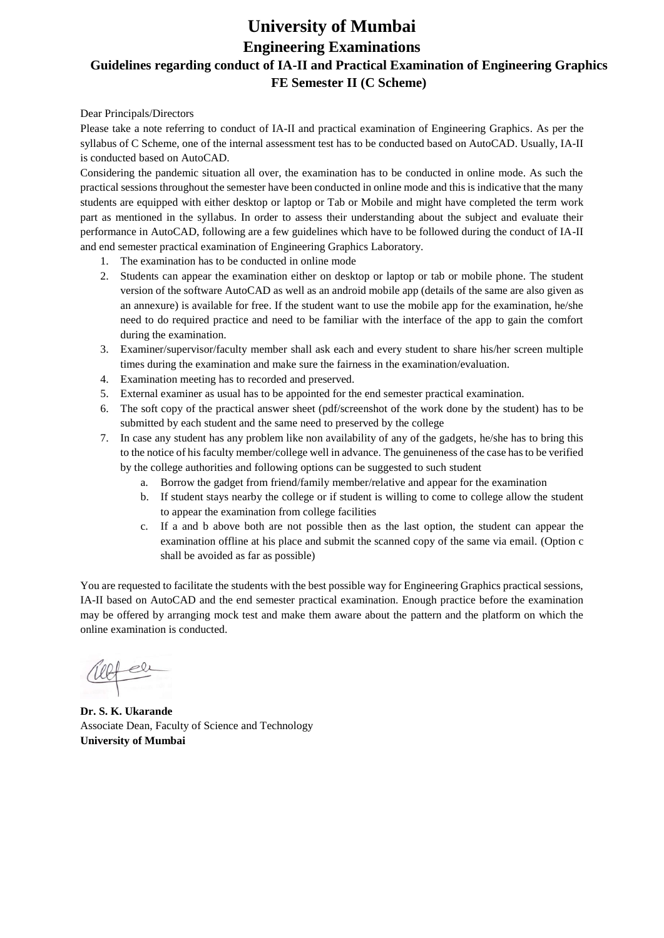# **University of Mumbai Engineering Examinations Guidelines regarding conduct of IA-II and Practical Examination of Engineering Graphics FE Semester II (C Scheme)**

Dear Principals/Directors

Please take a note referring to conduct of IA-II and practical examination of Engineering Graphics. As per the syllabus of C Scheme, one of the internal assessment test has to be conducted based on AutoCAD. Usually, IA-II is conducted based on AutoCAD.

Considering the pandemic situation all over, the examination has to be conducted in online mode. As such the practical sessions throughout the semester have been conducted in online mode and this is indicative that the many students are equipped with either desktop or laptop or Tab or Mobile and might have completed the term work part as mentioned in the syllabus. In order to assess their understanding about the subject and evaluate their performance in AutoCAD, following are a few guidelines which have to be followed during the conduct of IA-II and end semester practical examination of Engineering Graphics Laboratory.

- 1. The examination has to be conducted in online mode
- 2. Students can appear the examination either on desktop or laptop or tab or mobile phone. The student version of the software AutoCAD as well as an android mobile app (details of the same are also given as an annexure) is available for free. If the student want to use the mobile app for the examination, he/she need to do required practice and need to be familiar with the interface of the app to gain the comfort during the examination.
- 3. Examiner/supervisor/faculty member shall ask each and every student to share his/her screen multiple times during the examination and make sure the fairness in the examination/evaluation.
- 4. Examination meeting has to recorded and preserved.
- 5. External examiner as usual has to be appointed for the end semester practical examination.
- 6. The soft copy of the practical answer sheet (pdf/screenshot of the work done by the student) has to be submitted by each student and the same need to preserved by the college
- 7. In case any student has any problem like non availability of any of the gadgets, he/she has to bring this to the notice of his faculty member/college well in advance. The genuineness of the case has to be verified by the college authorities and following options can be suggested to such student
	- a. Borrow the gadget from friend/family member/relative and appear for the examination
	- b. If student stays nearby the college or if student is willing to come to college allow the student to appear the examination from college facilities
	- c. If a and b above both are not possible then as the last option, the student can appear the examination offline at his place and submit the scanned copy of the same via email. (Option c shall be avoided as far as possible)

You are requested to facilitate the students with the best possible way for Engineering Graphics practical sessions, IA-II based on AutoCAD and the end semester practical examination. Enough practice before the examination may be offered by arranging mock test and make them aware about the pattern and the platform on which the online examination is conducted.

**Dr. S. K. Ukarande** Associate Dean, Faculty of Science and Technology **University of Mumbai**